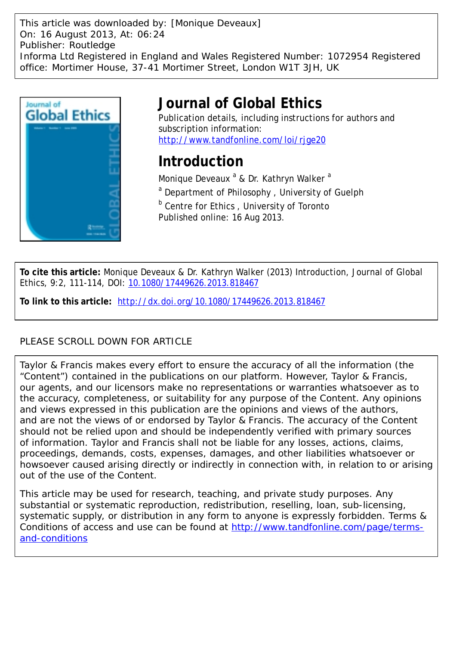This article was downloaded by: [Monique Deveaux] On: 16 August 2013, At: 06:24 Publisher: Routledge Informa Ltd Registered in England and Wales Registered Number: 1072954 Registered office: Mortimer House, 37-41 Mortimer Street, London W1T 3JH, UK



# **Journal of Global Ethics**

Publication details, including instructions for authors and subscription information: <http://www.tandfonline.com/loi/rjge20>

## **Introduction**

Monique Deveaux <sup>a</sup> & Dr. Kathryn Walker <sup>a</sup> <sup>a</sup> Department of Philosophy, University of Guelph **b** Centre for Ethics, University of Toronto Published online: 16 Aug 2013.

**To cite this article:** Monique Deveaux & Dr. Kathryn Walker (2013) Introduction, Journal of Global Ethics, 9:2, 111-114, DOI: [10.1080/17449626.2013.818467](http://www.tandfonline.com/action/showCitFormats?doi=10.1080/17449626.2013.818467)

**To link to this article:** <http://dx.doi.org/10.1080/17449626.2013.818467>

## PLEASE SCROLL DOWN FOR ARTICLE

Taylor & Francis makes every effort to ensure the accuracy of all the information (the "Content") contained in the publications on our platform. However, Taylor & Francis, our agents, and our licensors make no representations or warranties whatsoever as to the accuracy, completeness, or suitability for any purpose of the Content. Any opinions and views expressed in this publication are the opinions and views of the authors, and are not the views of or endorsed by Taylor & Francis. The accuracy of the Content should not be relied upon and should be independently verified with primary sources of information. Taylor and Francis shall not be liable for any losses, actions, claims, proceedings, demands, costs, expenses, damages, and other liabilities whatsoever or howsoever caused arising directly or indirectly in connection with, in relation to or arising out of the use of the Content.

This article may be used for research, teaching, and private study purposes. Any substantial or systematic reproduction, redistribution, reselling, loan, sub-licensing, systematic supply, or distribution in any form to anyone is expressly forbidden. Terms & Conditions of access and use can be found at [http://www.tandfonline.com/page/terms](http://www.tandfonline.com/page/terms-and-conditions)[and-conditions](http://www.tandfonline.com/page/terms-and-conditions)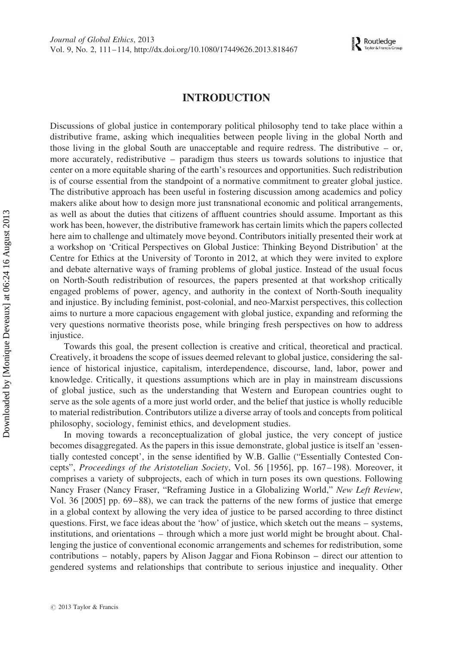## INTRODUCTION

Discussions of global justice in contemporary political philosophy tend to take place within a distributive frame, asking which inequalities between people living in the global North and those living in the global South are unacceptable and require redress. The distributive – or, more accurately, redistributive – paradigm thus steers us towards solutions to injustice that center on a more equitable sharing of the earth's resources and opportunities. Such redistribution is of course essential from the standpoint of a normative commitment to greater global justice. The distributive approach has been useful in fostering discussion among academics and policy makers alike about how to design more just transnational economic and political arrangements, as well as about the duties that citizens of affluent countries should assume. Important as this work has been, however, the distributive framework has certain limits which the papers collected here aim to challenge and ultimately move beyond. Contributors initially presented their work at a workshop on 'Critical Perspectives on Global Justice: Thinking Beyond Distribution' at the Centre for Ethics at the University of Toronto in 2012, at which they were invited to explore and debate alternative ways of framing problems of global justice. Instead of the usual focus on North-South redistribution of resources, the papers presented at that workshop critically engaged problems of power, agency, and authority in the context of North-South inequality and injustice. By including feminist, post-colonial, and neo-Marxist perspectives, this collection aims to nurture a more capacious engagement with global justice, expanding and reforming the very questions normative theorists pose, while bringing fresh perspectives on how to address injustice.

Towards this goal, the present collection is creative and critical, theoretical and practical. Creatively, it broadens the scope of issues deemed relevant to global justice, considering the salience of historical injustice, capitalism, interdependence, discourse, land, labor, power and knowledge. Critically, it questions assumptions which are in play in mainstream discussions of global justice, such as the understanding that Western and European countries ought to serve as the sole agents of a more just world order, and the belief that justice is wholly reducible to material redistribution. Contributors utilize a diverse array of tools and concepts from political philosophy, sociology, feminist ethics, and development studies.

In moving towards a reconceptualization of global justice, the very concept of justice becomes disaggregated. As the papers in this issue demonstrate, global justice is itself an 'essentially contested concept', in the sense identified by W.B. Gallie ("Essentially Contested Concepts", Proceedings of the Aristotelian Society, Vol. 56 [1956], pp. 167–198). Moreover, it comprises a variety of subprojects, each of which in turn poses its own questions. Following Nancy Fraser (Nancy Fraser, "Reframing Justice in a Globalizing World," New Left Review, Vol. 36 [2005] pp. 69–88), we can track the patterns of the new forms of justice that emerge in a global context by allowing the very idea of justice to be parsed according to three distinct questions. First, we face ideas about the 'how' of justice, which sketch out the means – systems, institutions, and orientations – through which a more just world might be brought about. Challenging the justice of conventional economic arrangements and schemes for redistribution, some contributions – notably, papers by Alison Jaggar and Fiona Robinson – direct our attention to gendered systems and relationships that contribute to serious injustice and inequality. Other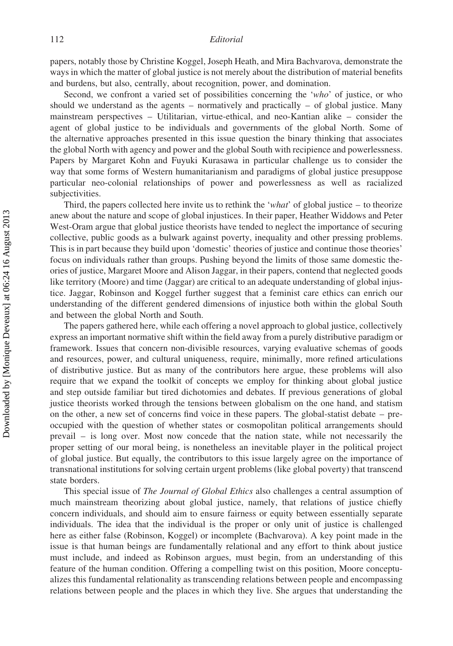### 112 Editorial

papers, notably those by Christine Koggel, Joseph Heath, and Mira Bachvarova, demonstrate the ways in which the matter of global justice is not merely about the distribution of material benefits and burdens, but also, centrally, about recognition, power, and domination.

Second, we confront a varied set of possibilities concerning the 'who' of justice, or who should we understand as the agents  $-$  normatively and practically  $-$  of global justice. Many mainstream perspectives – Utilitarian, virtue-ethical, and neo-Kantian alike – consider the agent of global justice to be individuals and governments of the global North. Some of the alternative approaches presented in this issue question the binary thinking that associates the global North with agency and power and the global South with recipience and powerlessness. Papers by Margaret Kohn and Fuyuki Kurasawa in particular challenge us to consider the way that some forms of Western humanitarianism and paradigms of global justice presuppose particular neo-colonial relationships of power and powerlessness as well as racialized subjectivities.

Third, the papers collected here invite us to rethink the 'what' of global justice – to theorize anew about the nature and scope of global injustices. In their paper, Heather Widdows and Peter West-Oram argue that global justice theorists have tended to neglect the importance of securing collective, public goods as a bulwark against poverty, inequality and other pressing problems. This is in part because they build upon 'domestic' theories of justice and continue those theories' focus on individuals rather than groups. Pushing beyond the limits of those same domestic theories of justice, Margaret Moore and Alison Jaggar, in their papers, contend that neglected goods like territory (Moore) and time (Jaggar) are critical to an adequate understanding of global injustice. Jaggar, Robinson and Koggel further suggest that a feminist care ethics can enrich our understanding of the different gendered dimensions of injustice both within the global South and between the global North and South.

The papers gathered here, while each offering a novel approach to global justice, collectively express an important normative shift within the field away from a purely distributive paradigm or framework. Issues that concern non-divisible resources, varying evaluative schemas of goods and resources, power, and cultural uniqueness, require, minimally, more refined articulations of distributive justice. But as many of the contributors here argue, these problems will also require that we expand the toolkit of concepts we employ for thinking about global justice and step outside familiar but tired dichotomies and debates. If previous generations of global justice theorists worked through the tensions between globalism on the one hand, and statism on the other, a new set of concerns find voice in these papers. The global-statist debate – preoccupied with the question of whether states or cosmopolitan political arrangements should prevail – is long over. Most now concede that the nation state, while not necessarily the proper setting of our moral being, is nonetheless an inevitable player in the political project of global justice. But equally, the contributors to this issue largely agree on the importance of transnational institutions for solving certain urgent problems (like global poverty) that transcend state borders.

This special issue of *The Journal of Global Ethics* also challenges a central assumption of much mainstream theorizing about global justice, namely, that relations of justice chiefly concern individuals, and should aim to ensure fairness or equity between essentially separate individuals. The idea that the individual is the proper or only unit of justice is challenged here as either false (Robinson, Koggel) or incomplete (Bachvarova). A key point made in the issue is that human beings are fundamentally relational and any effort to think about justice must include, and indeed as Robinson argues, must begin, from an understanding of this feature of the human condition. Offering a compelling twist on this position, Moore conceptualizes this fundamental relationality as transcending relations between people and encompassing relations between people and the places in which they live. She argues that understanding the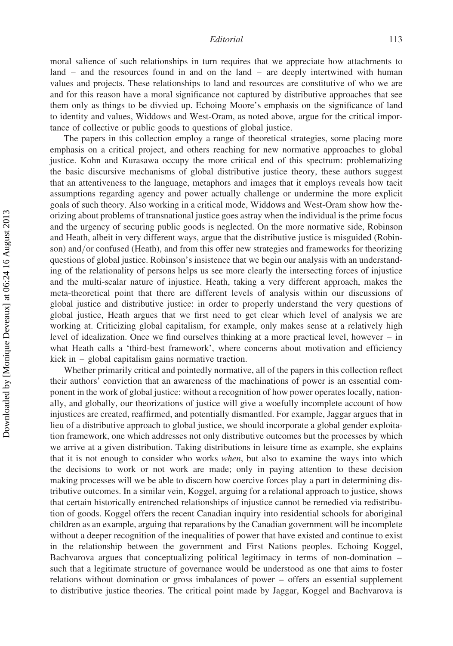#### Editorial 113

moral salience of such relationships in turn requires that we appreciate how attachments to land – and the resources found in and on the land – are deeply intertwined with human values and projects. These relationships to land and resources are constitutive of who we are and for this reason have a moral significance not captured by distributive approaches that see them only as things to be divvied up. Echoing Moore's emphasis on the significance of land to identity and values, Widdows and West-Oram, as noted above, argue for the critical importance of collective or public goods to questions of global justice.

The papers in this collection employ a range of theoretical strategies, some placing more emphasis on a critical project, and others reaching for new normative approaches to global justice. Kohn and Kurasawa occupy the more critical end of this spectrum: problematizing the basic discursive mechanisms of global distributive justice theory, these authors suggest that an attentiveness to the language, metaphors and images that it employs reveals how tacit assumptions regarding agency and power actually challenge or undermine the more explicit goals of such theory. Also working in a critical mode, Widdows and West-Oram show how theorizing about problems of transnational justice goes astray when the individual is the prime focus and the urgency of securing public goods is neglected. On the more normative side, Robinson and Heath, albeit in very different ways, argue that the distributive justice is misguided (Robinson) and/or confused (Heath), and from this offer new strategies and frameworks for theorizing questions of global justice. Robinson's insistence that we begin our analysis with an understanding of the relationality of persons helps us see more clearly the intersecting forces of injustice and the multi-scalar nature of injustice. Heath, taking a very different approach, makes the meta-theoretical point that there are different levels of analysis within our discussions of global justice and distributive justice: in order to properly understand the very questions of global justice, Heath argues that we first need to get clear which level of analysis we are working at. Criticizing global capitalism, for example, only makes sense at a relatively high level of idealization. Once we find ourselves thinking at a more practical level, however – in what Heath calls a 'third-best framework', where concerns about motivation and efficiency kick in – global capitalism gains normative traction.

Whether primarily critical and pointedly normative, all of the papers in this collection reflect their authors' conviction that an awareness of the machinations of power is an essential component in the work of global justice: without a recognition of how power operates locally, nationally, and globally, our theorizations of justice will give a woefully incomplete account of how injustices are created, reaffirmed, and potentially dismantled. For example, Jaggar argues that in lieu of a distributive approach to global justice, we should incorporate a global gender exploitation framework, one which addresses not only distributive outcomes but the processes by which we arrive at a given distribution. Taking distributions in leisure time as example, she explains that it is not enough to consider who works when, but also to examine the ways into which the decisions to work or not work are made; only in paying attention to these decision making processes will we be able to discern how coercive forces play a part in determining distributive outcomes. In a similar vein, Koggel, arguing for a relational approach to justice, shows that certain historically entrenched relationships of injustice cannot be remedied via redistribution of goods. Koggel offers the recent Canadian inquiry into residential schools for aboriginal children as an example, arguing that reparations by the Canadian government will be incomplete without a deeper recognition of the inequalities of power that have existed and continue to exist in the relationship between the government and First Nations peoples. Echoing Koggel, Bachvarova argues that conceptualizing political legitimacy in terms of non-domination – such that a legitimate structure of governance would be understood as one that aims to foster relations without domination or gross imbalances of power – offers an essential supplement to distributive justice theories. The critical point made by Jaggar, Koggel and Bachvarova is